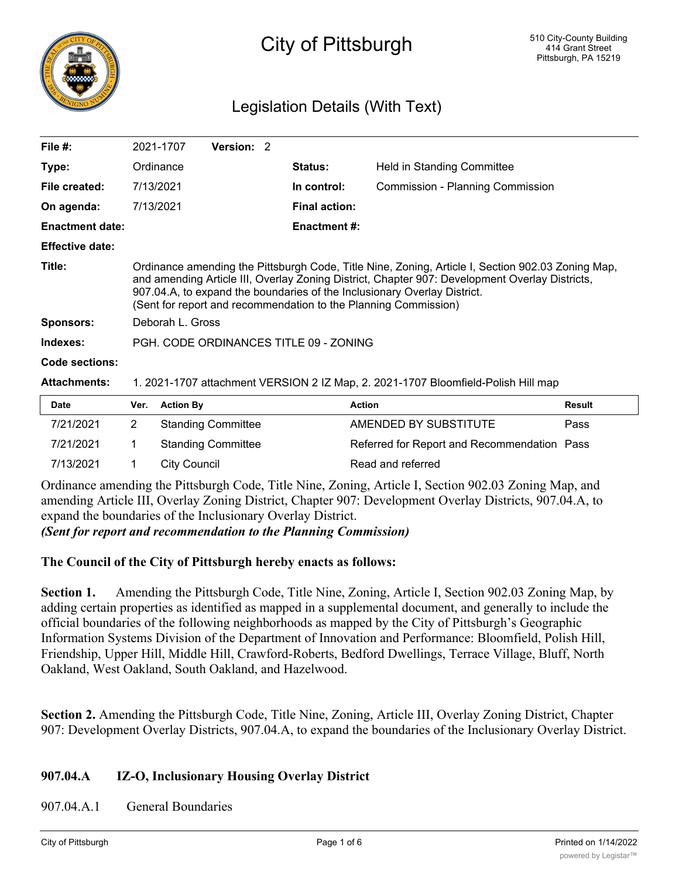

# City of Pittsburgh

## Legislation Details (With Text)

| File $#$ :             | 2021-1707                                                                                                                                                                                                                                                                                                                                          | Version: 2 |                      |                |                                         |  |  |
|------------------------|----------------------------------------------------------------------------------------------------------------------------------------------------------------------------------------------------------------------------------------------------------------------------------------------------------------------------------------------------|------------|----------------------|----------------|-----------------------------------------|--|--|
| Type:                  | Ordinance                                                                                                                                                                                                                                                                                                                                          |            |                      | <b>Status:</b> | Held in Standing Committee              |  |  |
| File created:          | 7/13/2021                                                                                                                                                                                                                                                                                                                                          |            |                      | In control:    | <b>Commission - Planning Commission</b> |  |  |
| On agenda:             | 7/13/2021                                                                                                                                                                                                                                                                                                                                          |            | <b>Final action:</b> |                |                                         |  |  |
| <b>Enactment date:</b> |                                                                                                                                                                                                                                                                                                                                                    |            |                      | Enactment #:   |                                         |  |  |
| <b>Effective date:</b> |                                                                                                                                                                                                                                                                                                                                                    |            |                      |                |                                         |  |  |
| Title:                 | Ordinance amending the Pittsburgh Code, Title Nine, Zoning, Article I, Section 902.03 Zoning Map,<br>and amending Article III, Overlay Zoning District, Chapter 907: Development Overlay Districts,<br>907.04.A, to expand the boundaries of the Inclusionary Overlay District.<br>(Sent for report and recommendation to the Planning Commission) |            |                      |                |                                         |  |  |
| <b>Sponsors:</b>       | Deborah L. Gross                                                                                                                                                                                                                                                                                                                                   |            |                      |                |                                         |  |  |
| Indexes:               | PGH, CODE ORDINANCES TITLE 09 - ZONING                                                                                                                                                                                                                                                                                                             |            |                      |                |                                         |  |  |
| Code sections:         |                                                                                                                                                                                                                                                                                                                                                    |            |                      |                |                                         |  |  |

#### **Attachments:** 1. 2021-1707 attachment VERSION 2 IZ Map, 2. 2021-1707 Bloomfield-Polish Hill map

| <b>Date</b> | Ver. | <b>Action By</b>          | Action                                      | Result |
|-------------|------|---------------------------|---------------------------------------------|--------|
| 7/21/2021   |      | <b>Standing Committee</b> | AMENDED BY SUBSTITUTE                       | Pass   |
| 7/21/2021   |      | <b>Standing Committee</b> | Referred for Report and Recommendation Pass |        |
| 7/13/2021   |      | City Council              | Read and referred                           |        |

Ordinance amending the Pittsburgh Code, Title Nine, Zoning, Article I, Section 902.03 Zoning Map, and amending Article III, Overlay Zoning District, Chapter 907: Development Overlay Districts, 907.04.A, to expand the boundaries of the Inclusionary Overlay District.

*(Sent for report and recommendation to the Planning Commission)*

## **The Council of the City of Pittsburgh hereby enacts as follows:**

**Section 1.** Amending the Pittsburgh Code, Title Nine, Zoning, Article I, Section 902.03 Zoning Map, by adding certain properties as identified as mapped in a supplemental document, and generally to include the official boundaries of the following neighborhoods as mapped by the City of Pittsburgh's Geographic Information Systems Division of the Department of Innovation and Performance: Bloomfield, Polish Hill, Friendship, Upper Hill, Middle Hill, Crawford-Roberts, Bedford Dwellings, Terrace Village, Bluff, North Oakland, West Oakland, South Oakland, and Hazelwood.

**Section 2.** Amending the Pittsburgh Code, Title Nine, Zoning, Article III, Overlay Zoning District, Chapter 907: Development Overlay Districts, 907.04.A, to expand the boundaries of the Inclusionary Overlay District.

## **907.04.A IZ-O, Inclusionary Housing Overlay District**

907.04.A.1 General Boundaries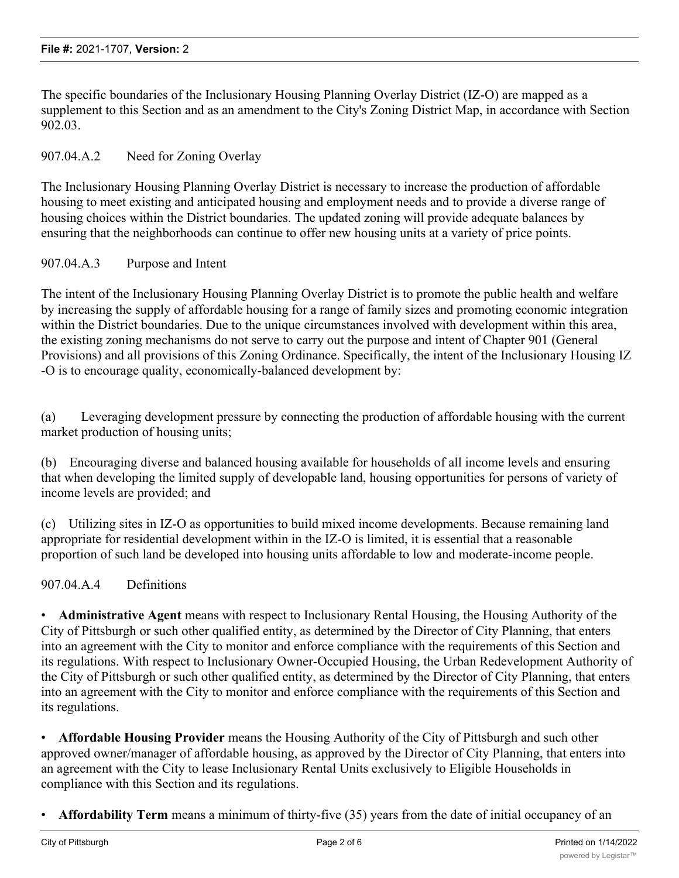The specific boundaries of the Inclusionary Housing Planning Overlay District (IZ-O) are mapped as a supplement to this Section and as an amendment to the City's Zoning District Map, in accordance with Section 902.03.

## 907.04.A.2 Need for Zoning Overlay

The Inclusionary Housing Planning Overlay District is necessary to increase the production of affordable housing to meet existing and anticipated housing and employment needs and to provide a diverse range of housing choices within the District boundaries. The updated zoning will provide adequate balances by ensuring that the neighborhoods can continue to offer new housing units at a variety of price points.

## 907.04.A.3 Purpose and Intent

The intent of the Inclusionary Housing Planning Overlay District is to promote the public health and welfare by increasing the supply of affordable housing for a range of family sizes and promoting economic integration within the District boundaries. Due to the unique circumstances involved with development within this area, the existing zoning mechanisms do not serve to carry out the purpose and intent of Chapter 901 (General Provisions) and all provisions of this Zoning Ordinance. Specifically, the intent of the Inclusionary Housing IZ -O is to encourage quality, economically-balanced development by:

(a) Leveraging development pressure by connecting the production of affordable housing with the current market production of housing units;

(b) Encouraging diverse and balanced housing available for households of all income levels and ensuring that when developing the limited supply of developable land, housing opportunities for persons of variety of income levels are provided; and

(c) Utilizing sites in IZ-O as opportunities to build mixed income developments. Because remaining land appropriate for residential development within in the IZ-O is limited, it is essential that a reasonable proportion of such land be developed into housing units affordable to low and moderate-income people.

907.04.A.4 Definitions

• **Administrative Agent** means with respect to Inclusionary Rental Housing, the Housing Authority of the City of Pittsburgh or such other qualified entity, as determined by the Director of City Planning, that enters into an agreement with the City to monitor and enforce compliance with the requirements of this Section and its regulations. With respect to Inclusionary Owner-Occupied Housing, the Urban Redevelopment Authority of the City of Pittsburgh or such other qualified entity, as determined by the Director of City Planning, that enters into an agreement with the City to monitor and enforce compliance with the requirements of this Section and its regulations.

• **Affordable Housing Provider** means the Housing Authority of the City of Pittsburgh and such other approved owner/manager of affordable housing, as approved by the Director of City Planning, that enters into an agreement with the City to lease Inclusionary Rental Units exclusively to Eligible Households in compliance with this Section and its regulations.

• **Affordability Term** means a minimum of thirty-five (35) years from the date of initial occupancy of an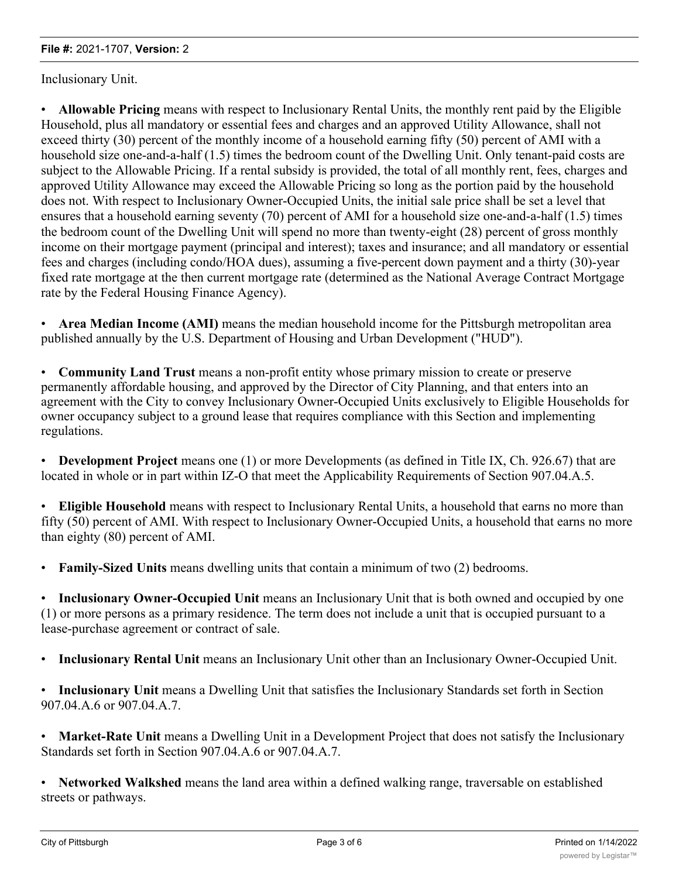Inclusionary Unit.

• **Allowable Pricing** means with respect to Inclusionary Rental Units, the monthly rent paid by the Eligible Household, plus all mandatory or essential fees and charges and an approved Utility Allowance, shall not exceed thirty (30) percent of the monthly income of a household earning fifty (50) percent of AMI with a household size one-and-a-half (1.5) times the bedroom count of the Dwelling Unit. Only tenant-paid costs are subject to the Allowable Pricing. If a rental subsidy is provided, the total of all monthly rent, fees, charges and approved Utility Allowance may exceed the Allowable Pricing so long as the portion paid by the household does not. With respect to Inclusionary Owner-Occupied Units, the initial sale price shall be set a level that ensures that a household earning seventy (70) percent of AMI for a household size one-and-a-half (1.5) times the bedroom count of the Dwelling Unit will spend no more than twenty-eight (28) percent of gross monthly income on their mortgage payment (principal and interest); taxes and insurance; and all mandatory or essential fees and charges (including condo/HOA dues), assuming a five-percent down payment and a thirty (30)-year fixed rate mortgage at the then current mortgage rate (determined as the National Average Contract Mortgage rate by the Federal Housing Finance Agency).

• **Area Median Income (AMI)** means the median household income for the Pittsburgh metropolitan area published annually by the U.S. Department of Housing and Urban Development ("HUD").

• **Community Land Trust** means a non-profit entity whose primary mission to create or preserve permanently affordable housing, and approved by the Director of City Planning, and that enters into an agreement with the City to convey Inclusionary Owner-Occupied Units exclusively to Eligible Households for owner occupancy subject to a ground lease that requires compliance with this Section and implementing regulations.

• **Development Project** means one (1) or more Developments (as defined in Title IX, Ch. 926.67) that are located in whole or in part within IZ-O that meet the Applicability Requirements of Section 907.04.A.5.

• **Eligible Household** means with respect to Inclusionary Rental Units, a household that earns no more than fifty (50) percent of AMI. With respect to Inclusionary Owner-Occupied Units, a household that earns no more than eighty (80) percent of AMI.

• **Family-Sized Units** means dwelling units that contain a minimum of two (2) bedrooms.

• **Inclusionary Owner-Occupied Unit** means an Inclusionary Unit that is both owned and occupied by one (1) or more persons as a primary residence. The term does not include a unit that is occupied pursuant to a lease-purchase agreement or contract of sale.

• **Inclusionary Rental Unit** means an Inclusionary Unit other than an Inclusionary Owner-Occupied Unit.

• **Inclusionary Unit** means a Dwelling Unit that satisfies the Inclusionary Standards set forth in Section 907.04.A.6 or 907.04.A.7.

• **Market-Rate Unit** means a Dwelling Unit in a Development Project that does not satisfy the Inclusionary Standards set forth in Section 907.04.A.6 or 907.04.A.7.

• **Networked Walkshed** means the land area within a defined walking range, traversable on established streets or pathways.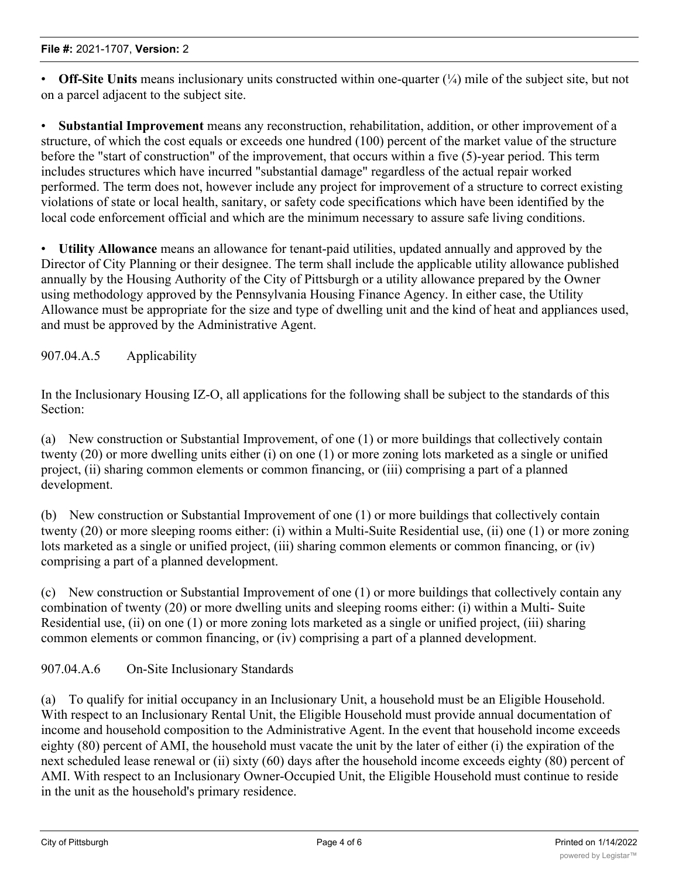• **Off-Site Units** means inclusionary units constructed within one-quarter ( $\frac{1}{4}$ ) mile of the subject site, but not on a parcel adjacent to the subject site.

• **Substantial Improvement** means any reconstruction, rehabilitation, addition, or other improvement of a structure, of which the cost equals or exceeds one hundred (100) percent of the market value of the structure before the "start of construction" of the improvement, that occurs within a five (5)-year period. This term includes structures which have incurred "substantial damage" regardless of the actual repair worked performed. The term does not, however include any project for improvement of a structure to correct existing violations of state or local health, sanitary, or safety code specifications which have been identified by the local code enforcement official and which are the minimum necessary to assure safe living conditions.

• **Utility Allowance** means an allowance for tenant-paid utilities, updated annually and approved by the Director of City Planning or their designee. The term shall include the applicable utility allowance published annually by the Housing Authority of the City of Pittsburgh or a utility allowance prepared by the Owner using methodology approved by the Pennsylvania Housing Finance Agency. In either case, the Utility Allowance must be appropriate for the size and type of dwelling unit and the kind of heat and appliances used, and must be approved by the Administrative Agent.

907.04.A.5 Applicability

In the Inclusionary Housing IZ-O, all applications for the following shall be subject to the standards of this Section:

(a) New construction or Substantial Improvement, of one (1) or more buildings that collectively contain twenty (20) or more dwelling units either (i) on one (1) or more zoning lots marketed as a single or unified project, (ii) sharing common elements or common financing, or (iii) comprising a part of a planned development.

(b) New construction or Substantial Improvement of one (1) or more buildings that collectively contain twenty (20) or more sleeping rooms either: (i) within a Multi-Suite Residential use, (ii) one (1) or more zoning lots marketed as a single or unified project, (iii) sharing common elements or common financing, or (iv) comprising a part of a planned development.

(c) New construction or Substantial Improvement of one (1) or more buildings that collectively contain any combination of twenty (20) or more dwelling units and sleeping rooms either: (i) within a Multi- Suite Residential use, (ii) on one (1) or more zoning lots marketed as a single or unified project, (iii) sharing common elements or common financing, or (iv) comprising a part of a planned development.

907.04.A.6 On-Site Inclusionary Standards

(a) To qualify for initial occupancy in an Inclusionary Unit, a household must be an Eligible Household. With respect to an Inclusionary Rental Unit, the Eligible Household must provide annual documentation of income and household composition to the Administrative Agent. In the event that household income exceeds eighty (80) percent of AMI, the household must vacate the unit by the later of either (i) the expiration of the next scheduled lease renewal or (ii) sixty (60) days after the household income exceeds eighty (80) percent of AMI. With respect to an Inclusionary Owner-Occupied Unit, the Eligible Household must continue to reside in the unit as the household's primary residence.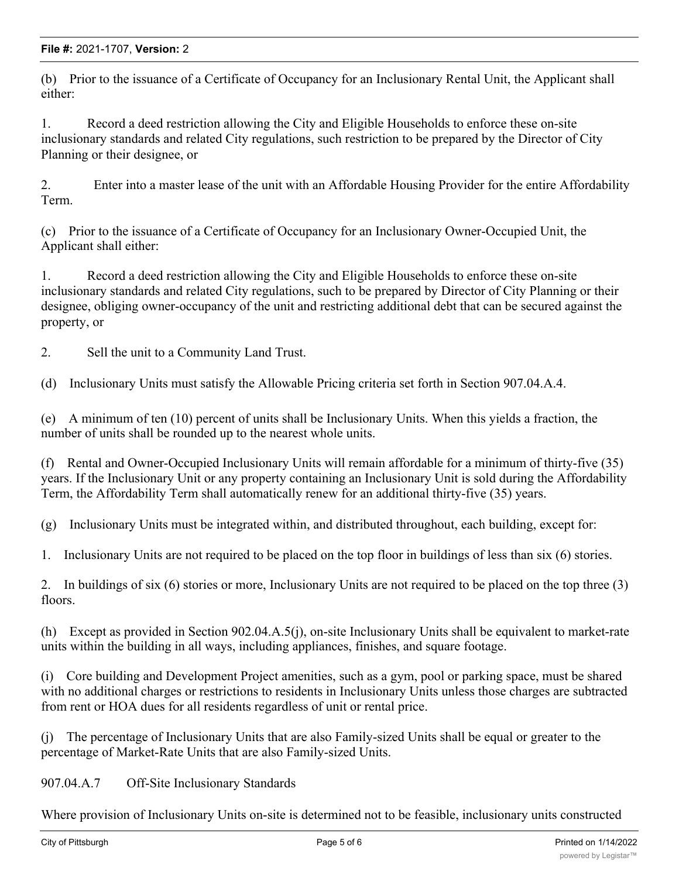(b) Prior to the issuance of a Certificate of Occupancy for an Inclusionary Rental Unit, the Applicant shall either:

1. Record a deed restriction allowing the City and Eligible Households to enforce these on-site inclusionary standards and related City regulations, such restriction to be prepared by the Director of City Planning or their designee, or

2. Enter into a master lease of the unit with an Affordable Housing Provider for the entire Affordability Term.

(c) Prior to the issuance of a Certificate of Occupancy for an Inclusionary Owner-Occupied Unit, the Applicant shall either:

1. Record a deed restriction allowing the City and Eligible Households to enforce these on-site inclusionary standards and related City regulations, such to be prepared by Director of City Planning or their designee, obliging owner-occupancy of the unit and restricting additional debt that can be secured against the property, or

2. Sell the unit to a Community Land Trust.

(d) Inclusionary Units must satisfy the Allowable Pricing criteria set forth in Section 907.04.A.4.

(e) A minimum of ten (10) percent of units shall be Inclusionary Units. When this yields a fraction, the number of units shall be rounded up to the nearest whole units.

(f) Rental and Owner-Occupied Inclusionary Units will remain affordable for a minimum of thirty-five (35) years. If the Inclusionary Unit or any property containing an Inclusionary Unit is sold during the Affordability Term, the Affordability Term shall automatically renew for an additional thirty-five (35) years.

(g) Inclusionary Units must be integrated within, and distributed throughout, each building, except for:

1. Inclusionary Units are not required to be placed on the top floor in buildings of less than six (6) stories.

2. In buildings of six (6) stories or more, Inclusionary Units are not required to be placed on the top three (3) floors.

(h) Except as provided in Section 902.04.A.5(j), on-site Inclusionary Units shall be equivalent to market-rate units within the building in all ways, including appliances, finishes, and square footage.

(i) Core building and Development Project amenities, such as a gym, pool or parking space, must be shared with no additional charges or restrictions to residents in Inclusionary Units unless those charges are subtracted from rent or HOA dues for all residents regardless of unit or rental price.

(j) The percentage of Inclusionary Units that are also Family-sized Units shall be equal or greater to the percentage of Market-Rate Units that are also Family-sized Units.

907.04.A.7 Off-Site Inclusionary Standards

Where provision of Inclusionary Units on-site is determined not to be feasible, inclusionary units constructed